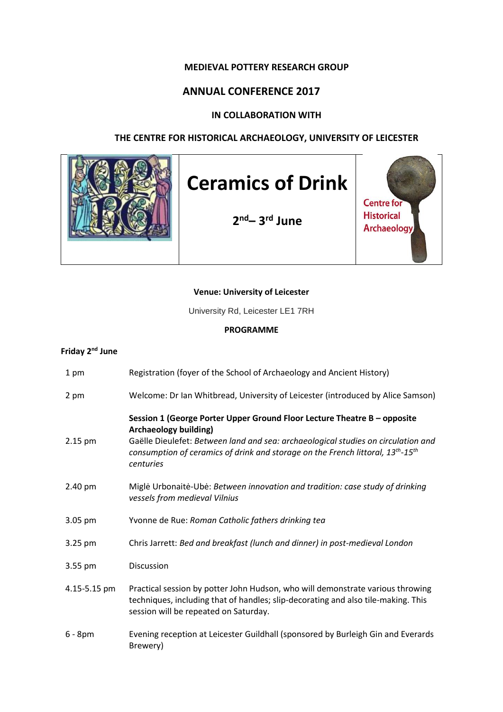## **MEDIEVAL POTTERY RESEARCH GROUP**

# **ANNUAL CONFERENCE 2017**

## **IN COLLABORATION WITH**

## **THE CENTRE FOR HISTORICAL ARCHAEOLOGY, UNIVERSITY OF LEICESTER**



#### **Venue: University of Leicester**

University Rd, Leicester LE1 7RH

#### **PROGRAMME**

# **Friday 2nd June**

| 1 pm         | Registration (foyer of the School of Archaeology and Ancient History)                                                                                                                                                                                                                                    |
|--------------|----------------------------------------------------------------------------------------------------------------------------------------------------------------------------------------------------------------------------------------------------------------------------------------------------------|
| 2 pm         | Welcome: Dr Ian Whitbread, University of Leicester (introduced by Alice Samson)                                                                                                                                                                                                                          |
| 2.15 pm      | Session 1 (George Porter Upper Ground Floor Lecture Theatre B - opposite<br><b>Archaeology building)</b><br>Gaëlle Dieulefet: Between land and sea: archaeological studies on circulation and<br>consumption of ceramics of drink and storage on the French littoral, $13^{th}$ - $15^{th}$<br>centuries |
| 2.40 pm      | Migle Urbonaite-Ube: Between innovation and tradition: case study of drinking<br>vessels from medieval Vilnius                                                                                                                                                                                           |
| 3.05 pm      | Yvonne de Rue: Roman Catholic fathers drinking tea                                                                                                                                                                                                                                                       |
| 3.25 pm      | Chris Jarrett: Bed and breakfast (lunch and dinner) in post-medieval London                                                                                                                                                                                                                              |
| 3.55 pm      | <b>Discussion</b>                                                                                                                                                                                                                                                                                        |
| 4.15-5.15 pm | Practical session by potter John Hudson, who will demonstrate various throwing<br>techniques, including that of handles; slip-decorating and also tile-making. This<br>session will be repeated on Saturday.                                                                                             |
| $6 - 8pm$    | Evening reception at Leicester Guildhall (sponsored by Burleigh Gin and Everards<br>Brewery)                                                                                                                                                                                                             |